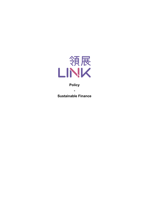

# **Policy**

**-**

**Sustainable Finance**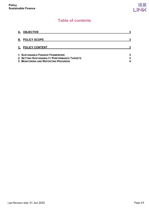# **Table of contents**

| A. OBJECTIVE<br><b>B. POLICY SCOPE</b>                                                                                                  |        |
|-----------------------------------------------------------------------------------------------------------------------------------------|--------|
|                                                                                                                                         |        |
| <b>C. POLICY CONTENT</b>                                                                                                                |        |
| <b>1. SUSTAINABLE FINANCE FRAMEWORK</b><br>2. SETTING SUSTAINABILITY PERFORMANCE TARGETS<br><b>3. MONITORING AND REPORTING PROGRESS</b> | 3<br>3 |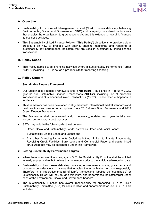

# <span id="page-2-0"></span>**A. Objective**

- Sustainability to Link Asset Management Limited ("**Link**") means delicately balancing Environmental, Social, and Governance ("**ESG**") and prosperity considerations in a way that enables the organisation to grow responsibly, and this extends to how Link finances its business activities.
- This Sustainability Linked Finance Policy's ("**This Policy**") objective is to provide a clear procedure on how to proceed with setting, ongoing monitoring and reporting of sustainability key performance indicators that are used in sustainability linked finance transactions.

## <span id="page-2-1"></span>**B. Policy Scope**

• This Policy applies to all financing activities where a Sustainability Performance Target ("**SPT**"), including ESG, is set as a pre-requisite for receiving financing.

## <span id="page-2-2"></span>**C. Policy Content**

#### <span id="page-2-3"></span>**1. Sustainable Finance Framework**

- Our Sustainable Finance Framework (the "**Framework**"), published in February 2022, governs our Sustainable Finance Transactions ("**SFTs**"), including use of proceeds transactions and Sustainability-Linked Transactions ("**SLT**"). Please refer to Appendix 1 for details.
- This Framework has been developed in alignment with international market standards and best practices and serves as an update of our 2016 Green Bond Framework and 2019 Green Finance Framework.
- The Framework shall be reviewed and, if necessary, updated each year to take into account contemporary best practices.
- SFTs may include the following debt instruments:
	- Green, Social and Sustainability Bonds, as well as Green and Social Loans;
	- Sustainability-Linked Bonds and Loans; and
	- Any other financing instruments (including but not limited to Private Placements, Revolving Credit Facilities, Bank Loans and Commercial Paper and equity linked structures) that may be designated under this Framework.

#### <span id="page-2-4"></span>**2. Setting Sustainability Performance Targets**

- When there is an intention to engage in SLT, the Sustainability Function shall be notified as early as practicable, but no less than one month prior to the anticipated execution date.
- Sustainability to Link means delicately balancing environmental, social, governance and prosperity considerations in a way that enables the organization to grow responsibly. Therefore, it is imperative that all of Link's transactions labelled as "sustainable" or "sustainability-linked" will include, at a minimum, one performance indicator/target under each of the Environment, Social and Governance headers.
- The Sustainability Function has overall responsibility for proposing SPTs to Link's Sustainability Committee ("**SC**") for consideration and endorsement for use in SLTs. This includes: